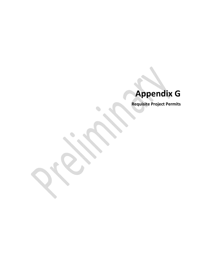